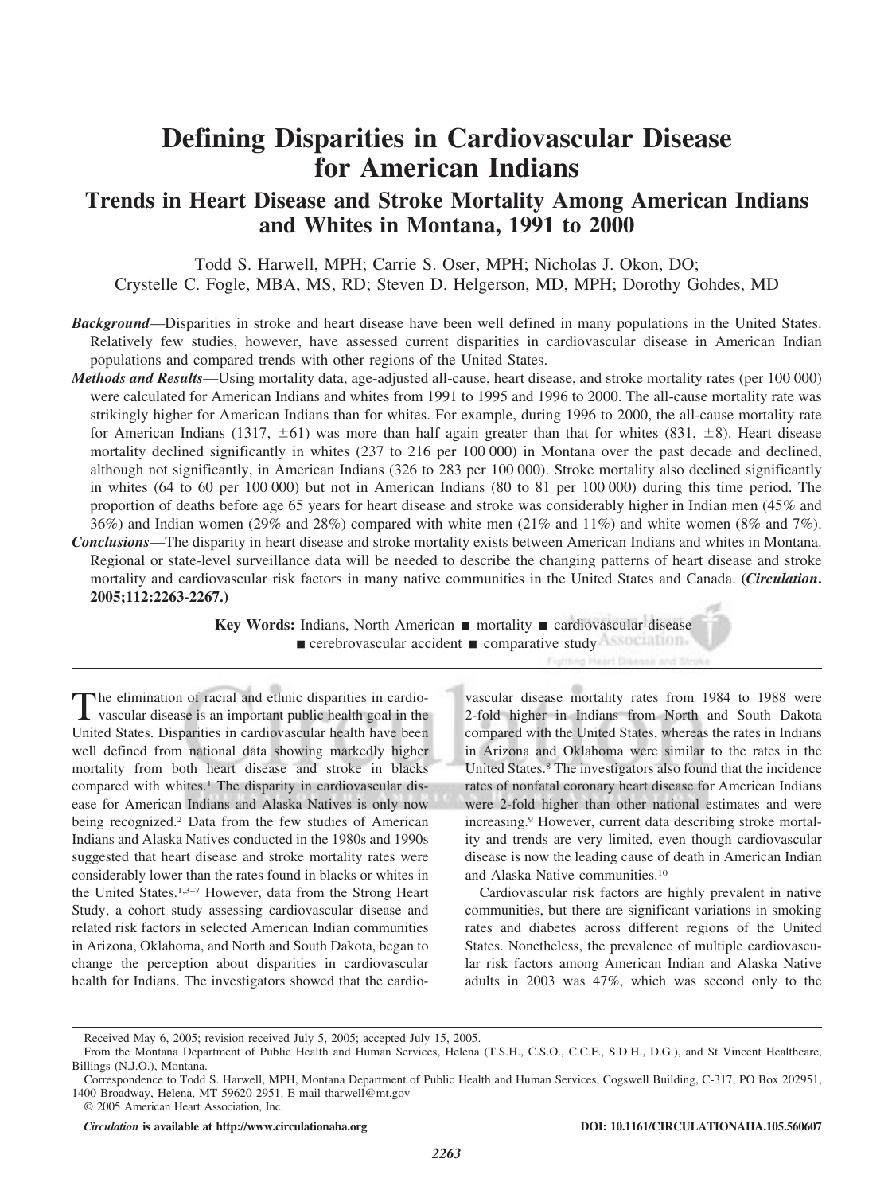# **Defining Disparities in Cardiovascular Disease for American Indians**

# **Trends in Heart Disease and Stroke Mortality Among American Indians and Whites in Montana, 1991 to 2000**

Todd S. Harwell, MPH; Carrie S. Oser, MPH; Nicholas J. Okon, DO; Crystelle C. Fogle, MBA, MS, RD; Steven D. Helgerson, MD, MPH; Dorothy Gohdes, MD

- *Background*—Disparities in stroke and heart disease have been well defined in many populations in the United States. Relatively few studies, however, have assessed current disparities in cardiovascular disease in American Indian populations and compared trends with other regions of the United States.
- *Methods and Results*—Using mortality data, age-adjusted all-cause, heart disease, and stroke mortality rates (per 100 000) were calculated for American Indians and whites from 1991 to 1995 and 1996 to 2000. The all-cause mortality rate was strikingly higher for American Indians than for whites. For example, during 1996 to 2000, the all-cause mortality rate for American Indians (1317,  $\pm 61$ ) was more than half again greater than that for whites (831,  $\pm 8$ ). Heart disease mortality declined significantly in whites (237 to 216 per 100 000) in Montana over the past decade and declined, although not significantly, in American Indians (326 to 283 per 100 000). Stroke mortality also declined significantly in whites (64 to 60 per 100 000) but not in American Indians (80 to 81 per 100 000) during this time period. The proportion of deaths before age 65 years for heart disease and stroke was considerably higher in Indian men (45% and 36%) and Indian women (29% and 28%) compared with white men (21% and 11%) and white women (8% and 7%).
- *Conclusions*—The disparity in heart disease and stroke mortality exists between American Indians and whites in Montana. Regional or state-level surveillance data will be needed to describe the changing patterns of heart disease and stroke mortality and cardiovascular risk factors in many native communities in the United States and Canada. **(***Circulation***. 2005;112:2263-2267.)**

**Key Words:** Indians, North American ■ mortality ■ cardiovascular disease  $\blacksquare$  cerebrovascular accident  $\blacksquare$  comparative study

The elimination of racial and ethnic disparities in cardiovascular disease is an important public health goal in the United States. Disparities in cardiovascular health have been well defined from national data showing markedly higher mortality from both heart disease and stroke in blacks compared with whites.<sup>1</sup> The disparity in cardiovascular disease for American Indians and Alaska Natives is only now being recognized.2 Data from the few studies of American Indians and Alaska Natives conducted in the 1980s and 1990s suggested that heart disease and stroke mortality rates were considerably lower than the rates found in blacks or whites in the United States.1,3–7 However, data from the Strong Heart Study, a cohort study assessing cardiovascular disease and related risk factors in selected American Indian communities in Arizona, Oklahoma, and North and South Dakota, began to change the perception about disparities in cardiovascular health for Indians. The investigators showed that the cardio-

vascular disease mortality rates from 1984 to 1988 were 2-fold higher in Indians from North and South Dakota compared with the United States, whereas the rates in Indians in Arizona and Oklahoma were similar to the rates in the United States.8 The investigators also found that the incidence rates of nonfatal coronary heart disease for American Indians were 2-fold higher than other national estimates and were increasing.9 However, current data describing stroke mortality and trends are very limited, even though cardiovascular disease is now the leading cause of death in American Indian and Alaska Native communities.10

Cardiovascular risk factors are highly prevalent in native communities, but there are significant variations in smoking rates and diabetes across different regions of the United States. Nonetheless, the prevalence of multiple cardiovascular risk factors among American Indian and Alaska Native adults in 2003 was 47%, which was second only to the

Received May 6, 2005; revision received July 5, 2005; accepted July 15, 2005.

From the Montana Department of Public Health and Human Services, Helena (T.S.H., C.S.O., C.C.F., S.D.H., D.G.), and St Vincent Healthcare, Billings (N.J.O.), Montana.

Correspondence to Todd S. Harwell, MPH, Montana Department of Public Health and Human Services, Cogswell Building, C-317, PO Box 202951, 1400 Broadway, Helena, MT 59620-2951. E-mail tharwell@mt.gov

<sup>© 2005</sup> American Heart Association, Inc.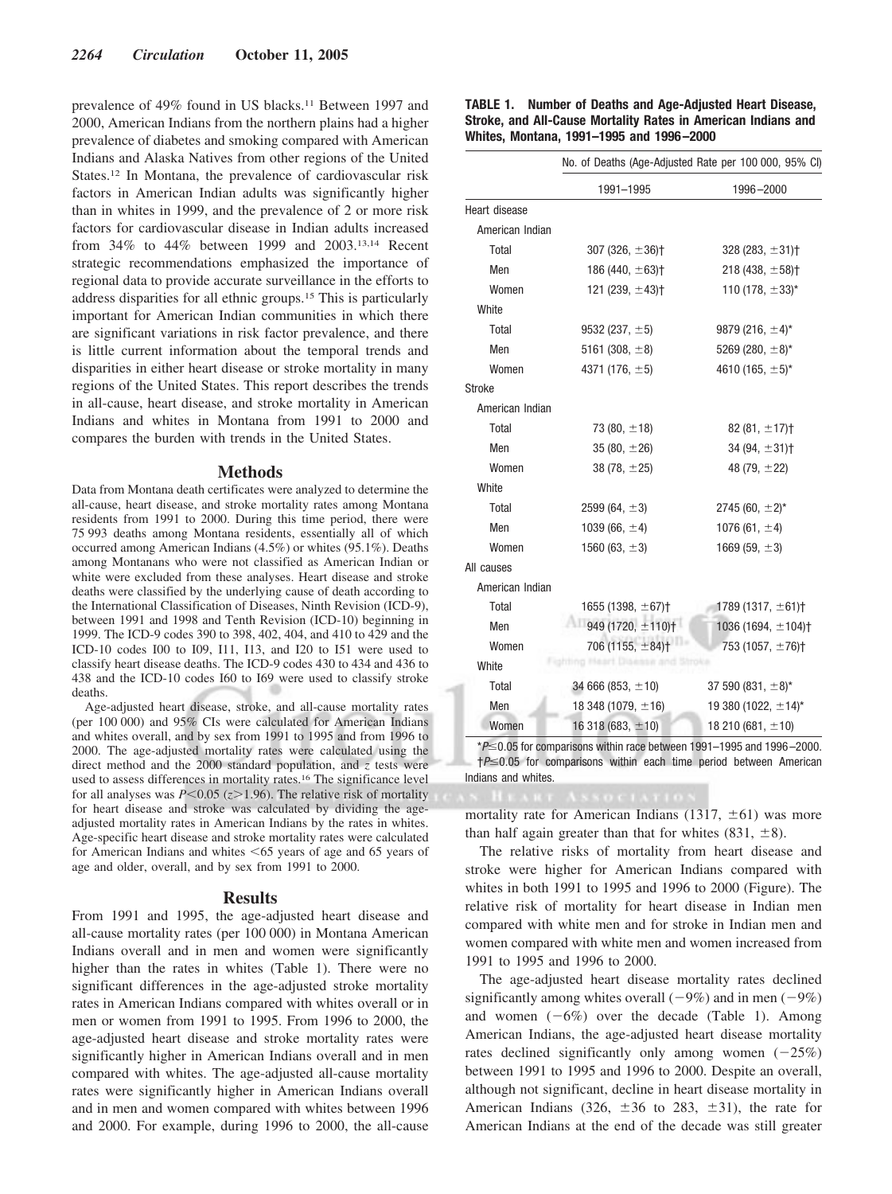prevalence of 49% found in US blacks.11 Between 1997 and 2000, American Indians from the northern plains had a higher prevalence of diabetes and smoking compared with American Indians and Alaska Natives from other regions of the United States.12 In Montana, the prevalence of cardiovascular risk factors in American Indian adults was significantly higher than in whites in 1999, and the prevalence of 2 or more risk factors for cardiovascular disease in Indian adults increased from 34% to 44% between 1999 and 2003.13,14 Recent strategic recommendations emphasized the importance of regional data to provide accurate surveillance in the efforts to address disparities for all ethnic groups.15 This is particularly important for American Indian communities in which there are significant variations in risk factor prevalence, and there is little current information about the temporal trends and disparities in either heart disease or stroke mortality in many regions of the United States. This report describes the trends in all-cause, heart disease, and stroke mortality in American Indians and whites in Montana from 1991 to 2000 and compares the burden with trends in the United States.

### **Methods**

Data from Montana death certificates were analyzed to determine the all-cause, heart disease, and stroke mortality rates among Montana residents from 1991 to 2000. During this time period, there were 75 993 deaths among Montana residents, essentially all of which occurred among American Indians (4.5%) or whites (95.1%). Deaths among Montanans who were not classified as American Indian or white were excluded from these analyses. Heart disease and stroke deaths were classified by the underlying cause of death according to the International Classification of Diseases, Ninth Revision (ICD-9), between 1991 and 1998 and Tenth Revision (ICD-10) beginning in 1999. The ICD-9 codes 390 to 398, 402, 404, and 410 to 429 and the ICD-10 codes I00 to I09, I11, I13, and I20 to I51 were used to classify heart disease deaths. The ICD-9 codes 430 to 434 and 436 to 438 and the ICD-10 codes I60 to I69 were used to classify stroke deaths.

Age-adjusted heart disease, stroke, and all-cause mortality rates (per 100 000) and 95% CIs were calculated for American Indians and whites overall, and by sex from 1991 to 1995 and from 1996 to 2000. The age-adjusted mortality rates were calculated using the direct method and the 2000 standard population, and *z* tests were used to assess differences in mortality rates.16 The significance level for all analyses was  $P \le 0.05$  ( $z \ge 1.96$ ). The relative risk of mortality for heart disease and stroke was calculated by dividing the ageadjusted mortality rates in American Indians by the rates in whites. Age-specific heart disease and stroke mortality rates were calculated for American Indians and whites <65 years of age and 65 years of age and older, overall, and by sex from 1991 to 2000.

#### **Results**

From 1991 and 1995, the age-adjusted heart disease and all-cause mortality rates (per 100 000) in Montana American Indians overall and in men and women were significantly higher than the rates in whites (Table 1). There were no significant differences in the age-adjusted stroke mortality rates in American Indians compared with whites overall or in men or women from 1991 to 1995. From 1996 to 2000, the age-adjusted heart disease and stroke mortality rates were significantly higher in American Indians overall and in men compared with whites. The age-adjusted all-cause mortality rates were significantly higher in American Indians overall and in men and women compared with whites between 1996 and 2000. For example, during 1996 to 2000, the all-cause

| <b>TABLE 1. Number of Deaths and Age-Adjusted Heart Disease,</b> |
|------------------------------------------------------------------|
| Stroke, and All-Cause Mortality Rates in American Indians and    |
| Whites, Montana, 1991–1995 and 1996–2000                         |

|                 |                                    | No. of Deaths (Age-Adjusted Rate per 100 000, 95% CI) |
|-----------------|------------------------------------|-------------------------------------------------------|
|                 | 1991-1995                          | 1996-2000                                             |
| Heart disease   |                                    |                                                       |
| American Indian |                                    |                                                       |
| Total           | 307 (326, $\pm$ 36)†               | $328(283, \pm 31)$                                    |
| Men             | 186 (440, $\pm$ 63) <sup>+</sup>   | $218(438, \pm 58)$                                    |
| Women           | 121 (239, $\pm$ 43) <sup>+</sup>   | 110 (178, $\pm$ 33)*                                  |
| White           |                                    |                                                       |
| Total           | 9532 (237, $\pm$ 5)                | 9879 (216, $\pm$ 4)*                                  |
| Men             | 5161 (308, $\pm$ 8)                | 5269 (280, $\pm$ 8)*                                  |
| Women           | 4371 (176, $\pm$ 5)                | 4610 (165, $\pm$ 5)*                                  |
| <b>Stroke</b>   |                                    |                                                       |
| American Indian |                                    |                                                       |
| Total           | 73 $(80, \pm 18)$                  | $82(81, \pm 17)$                                      |
| Men             | 35 (80, $\pm$ 26)                  | 34 (94, $\pm$ 31) <sup>+</sup>                        |
| Women           | 38 $(78, \pm 25)$                  | 48 $(79, \pm 22)$                                     |
| White           |                                    |                                                       |
| Total           | 2599 (64, $\pm$ 3)                 | 2745 (60, $\pm 2$ )*                                  |
| Men             | 1039 (66, $\pm$ 4)                 | 1076 (61, $\pm$ 4)                                    |
| Women           | 1560 $(63, \pm 3)$                 | 1669 $(59, \pm 3)$                                    |
| All causes      |                                    |                                                       |
| American Indian |                                    |                                                       |
| Total           | 1655 (1398, $\pm$ 67) <sup>+</sup> | 1789 (1317, $\pm$ 61)†                                |
| Men             | 949 (1720, ±110)+                  | 1036 (1694, $\pm$ 104) <sup>+</sup>                   |
| Women           | $706(1155, \pm 84)$ <sup>+</sup>   | 753 (1057, $\pm$ 76)†                                 |
| White           |                                    |                                                       |
| Total           | 34 666 (853, $\pm$ 10)             | 37 590 (831, $\pm$ 8)*                                |
| Men             | 18 348 (1079, $\pm$ 16)            | 19 380 (1022, $\pm$ 14)*                              |
| Women           | 16 318 (683, $\pm$ 10)             | 18 210 (681, $\pm$ 10)                                |
|                 |                                    |                                                       |

\**P*0.05 for comparisons within race between 1991–1995 and 1996 –2000.  $\dagger P \leq 0.05$  for comparisons within each time period between American Indians and whites.

mortality rate for American Indians (1317,  $\pm 61$ ) was more than half again greater than that for whites (831,  $\pm 8$ ).

The relative risks of mortality from heart disease and stroke were higher for American Indians compared with whites in both 1991 to 1995 and 1996 to 2000 (Figure). The relative risk of mortality for heart disease in Indian men compared with white men and for stroke in Indian men and women compared with white men and women increased from 1991 to 1995 and 1996 to 2000.

The age-adjusted heart disease mortality rates declined significantly among whites overall  $(-9\%)$  and in men  $(-9\%)$ and women  $(-6%)$  over the decade (Table 1). Among American Indians, the age-adjusted heart disease mortality rates declined significantly only among women  $(-25%)$ between 1991 to 1995 and 1996 to 2000. Despite an overall, although not significant, decline in heart disease mortality in American Indians (326,  $\pm 36$  to 283,  $\pm 31$ ), the rate for American Indians at the end of the decade was still greater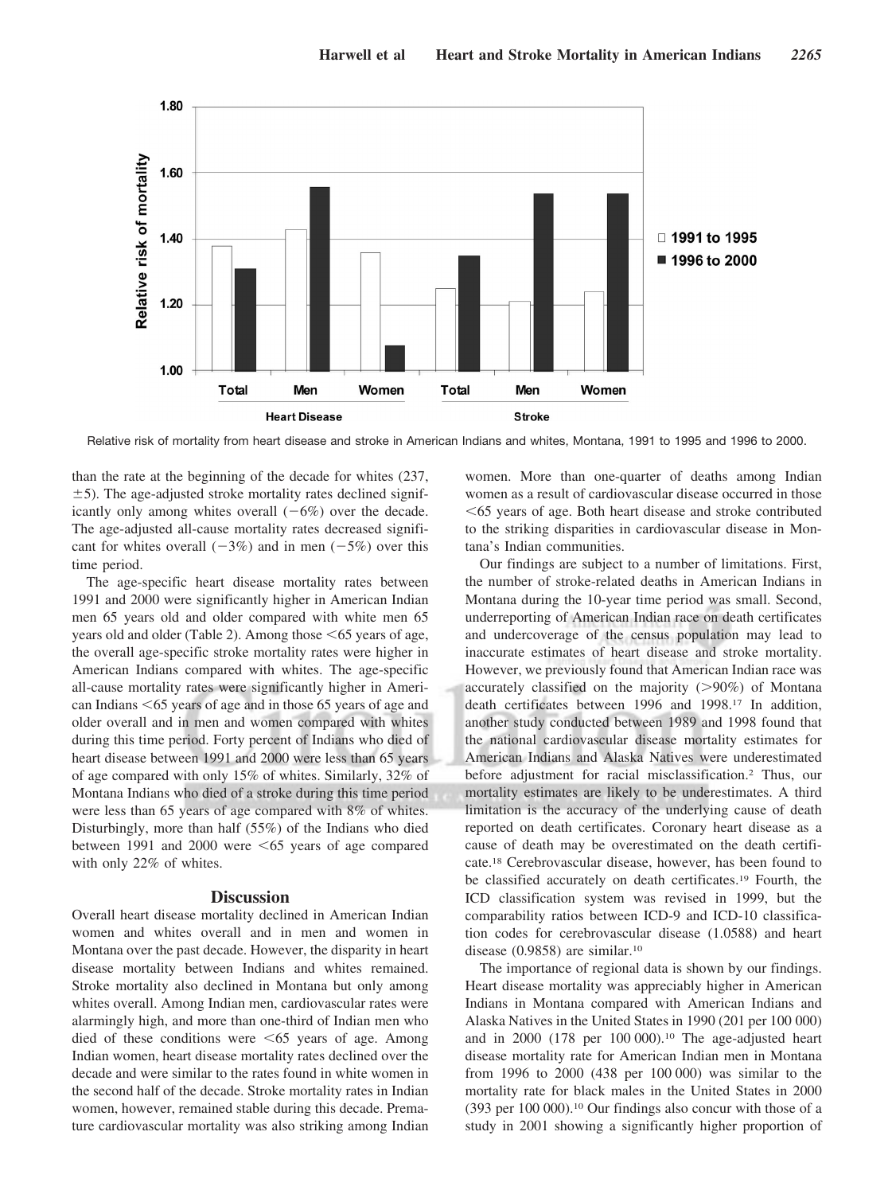

Relative risk of mortality from heart disease and stroke in American Indians and whites, Montana, 1991 to 1995 and 1996 to 2000.

than the rate at the beginning of the decade for whites (237,  $\pm$ 5). The age-adjusted stroke mortality rates declined significantly only among whites overall  $(-6%)$  over the decade. The age-adjusted all-cause mortality rates decreased significant for whites overall  $(-3%)$  and in men  $(-5%)$  over this time period.

The age-specific heart disease mortality rates between 1991 and 2000 were significantly higher in American Indian men 65 years old and older compared with white men 65 years old and older (Table 2). Among those <65 years of age, the overall age-specific stroke mortality rates were higher in American Indians compared with whites. The age-specific all-cause mortality rates were significantly higher in American Indians <65 years of age and in those 65 years of age and older overall and in men and women compared with whites during this time period. Forty percent of Indians who died of heart disease between 1991 and 2000 were less than 65 years of age compared with only 15% of whites. Similarly, 32% of Montana Indians who died of a stroke during this time period were less than 65 years of age compared with 8% of whites. Disturbingly, more than half (55%) of the Indians who died between 1991 and 2000 were  $\leq 65$  years of age compared with only 22% of whites.

# **Discussion**

Overall heart disease mortality declined in American Indian women and whites overall and in men and women in Montana over the past decade. However, the disparity in heart disease mortality between Indians and whites remained. Stroke mortality also declined in Montana but only among whites overall. Among Indian men, cardiovascular rates were alarmingly high, and more than one-third of Indian men who died of these conditions were  $\leq 65$  years of age. Among Indian women, heart disease mortality rates declined over the decade and were similar to the rates found in white women in the second half of the decade. Stroke mortality rates in Indian women, however, remained stable during this decade. Premature cardiovascular mortality was also striking among Indian

women. More than one-quarter of deaths among Indian women as a result of cardiovascular disease occurred in those -65 years of age. Both heart disease and stroke contributed to the striking disparities in cardiovascular disease in Montana's Indian communities.

Our findings are subject to a number of limitations. First, the number of stroke-related deaths in American Indians in Montana during the 10-year time period was small. Second, underreporting of American Indian race on death certificates and undercoverage of the census population may lead to inaccurate estimates of heart disease and stroke mortality. However, we previously found that American Indian race was accurately classified on the majority  $(>90%)$  of Montana death certificates between 1996 and 1998.17 In addition, another study conducted between 1989 and 1998 found that the national cardiovascular disease mortality estimates for American Indians and Alaska Natives were underestimated before adjustment for racial misclassification.2 Thus, our mortality estimates are likely to be underestimates. A third limitation is the accuracy of the underlying cause of death reported on death certificates. Coronary heart disease as a cause of death may be overestimated on the death certificate.18 Cerebrovascular disease, however, has been found to be classified accurately on death certificates.19 Fourth, the ICD classification system was revised in 1999, but the comparability ratios between ICD-9 and ICD-10 classification codes for cerebrovascular disease (1.0588) and heart disease (0.9858) are similar.10

The importance of regional data is shown by our findings. Heart disease mortality was appreciably higher in American Indians in Montana compared with American Indians and Alaska Natives in the United States in 1990 (201 per 100 000) and in 2000 (178 per 100 000).10 The age-adjusted heart disease mortality rate for American Indian men in Montana from 1996 to 2000 (438 per 100 000) was similar to the mortality rate for black males in the United States in 2000 (393 per 100 000).<sup>10</sup> Our findings also concur with those of a study in 2001 showing a significantly higher proportion of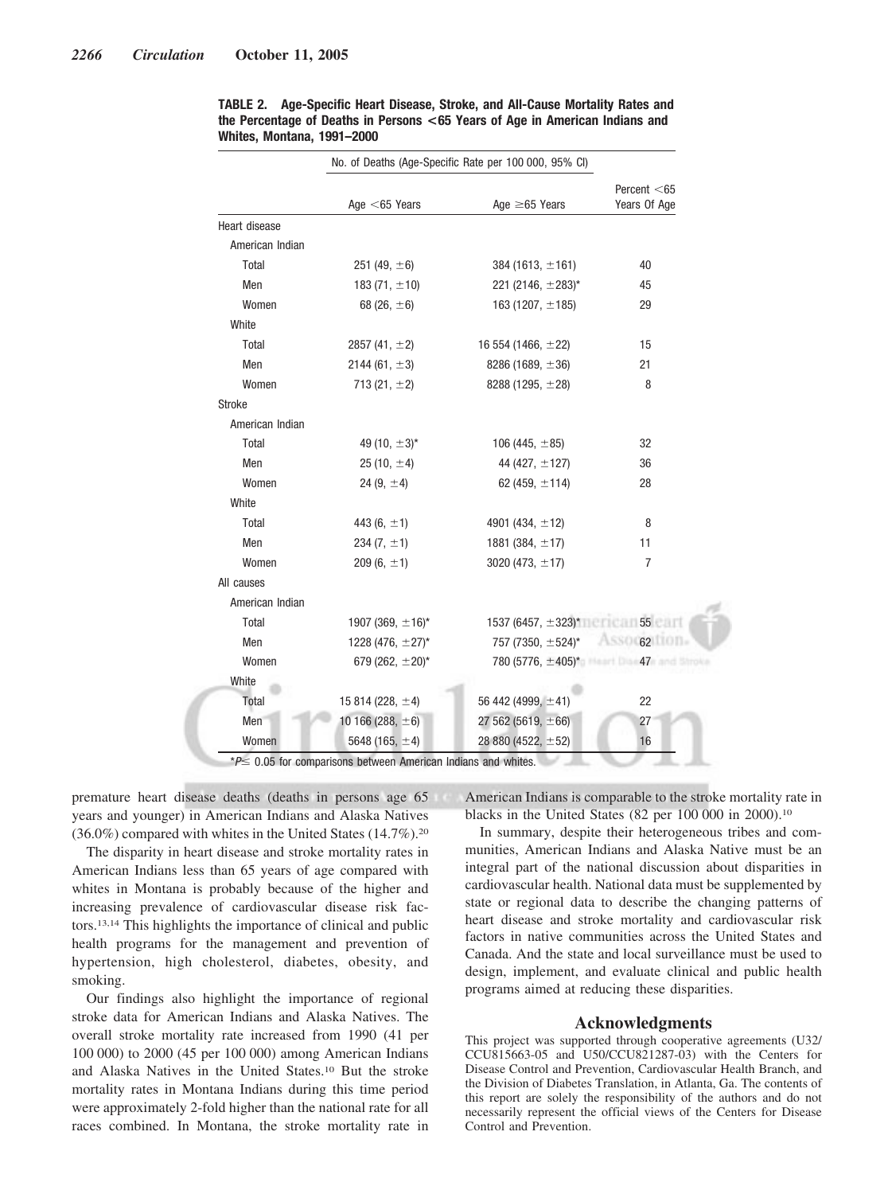|                 | No. of Deaths (Age-Specific Rate per 100 000, 95% CI) |                           |                                |
|-----------------|-------------------------------------------------------|---------------------------|--------------------------------|
|                 | Age $<$ 65 Years                                      | Age $\geq 65$ Years       | Percent $<$ 65<br>Years Of Age |
| Heart disease   |                                                       |                           |                                |
| American Indian |                                                       |                           |                                |
| Total           | 251 (49, $\pm 6$ )                                    | 384 (1613, $\pm$ 161)     | 40                             |
| Men             | 183 $(71, \pm 10)$                                    | 221 (2146, $\pm$ 283)*    | 45                             |
| Women           | 68 $(26, \pm 6)$                                      | 163 (1207, $\pm$ 185)     | 29                             |
| White           |                                                       |                           |                                |
| Total           | 2857 (41, $\pm$ 2)                                    | 16 554 (1466, $\pm$ 22)   | 15                             |
| Men             | 2144 (61, $\pm$ 3)                                    | 8286 (1689, $\pm$ 36)     | 21                             |
| Women           | 713 $(21, \pm 2)$                                     | 8288 (1295, $\pm$ 28)     | 8                              |
| Stroke          |                                                       |                           |                                |
| American Indian |                                                       |                           |                                |
| Total           | 49 (10, $\pm 3$ )*                                    | 106 (445, $\pm$ 85)       | 32                             |
| Men             | 25 (10, $\pm$ 4)                                      | 44 (427, $\pm$ 127)       | 36                             |
| Women           | 24 (9, $\pm$ 4)                                       | 62 (459, $\pm$ 114)       | 28                             |
| White           |                                                       |                           |                                |
| Total           | 443 $(6, \pm 1)$                                      | 4901 (434, $\pm$ 12)      | 8                              |
| Men             | 234 $(7, \pm 1)$                                      | 1881 (384, $\pm$ 17)      | 11                             |
| Women           | $209(6, \pm 1)$                                       | 3020 (473, $\pm$ 17)      | $\overline{7}$                 |
| All causes      |                                                       |                           |                                |
| American Indian |                                                       |                           |                                |
| Total           | 1907 (369, ±16)*                                      | 1537 (6457, ±323)* 6 55   |                                |
| Men             | 1228 (476, $\pm$ 27)*                                 | 757 (7350, ±524)*         | ASSOC62 TOTAL                  |
| Women           | 679 (262, $\pm$ 20)*                                  | $780(5776, \pm 405)^*$ 47 |                                |
| White           |                                                       |                           |                                |
| Total           | 15 814 (228, $\pm$ 4)                                 | 56 442 (4999, ±41)        | 22                             |
| Men             | 10 166 (288, $\pm$ 6)                                 | 27 562 (5619, $\pm$ 66)   | 27                             |
| Women           | 5648 (165, $\pm$ 4)                                   | 28 880 (4522, ±52)        | 16                             |

**TABLE 2. Age-Specific Heart Disease, Stroke, and All-Cause Mortality Rates and the Percentage of Deaths in Persons <65 Years of Age in American Indians and Whites, Montana, 1991–2000**

premature heart disease deaths (deaths in persons age 65 years and younger) in American Indians and Alaska Natives (36.0%) compared with whites in the United States (14.7%).20

The disparity in heart disease and stroke mortality rates in American Indians less than 65 years of age compared with whites in Montana is probably because of the higher and increasing prevalence of cardiovascular disease risk factors.13,14 This highlights the importance of clinical and public health programs for the management and prevention of hypertension, high cholesterol, diabetes, obesity, and smoking.

Our findings also highlight the importance of regional stroke data for American Indians and Alaska Natives. The overall stroke mortality rate increased from 1990 (41 per 100 000) to 2000 (45 per 100 000) among American Indians and Alaska Natives in the United States.10 But the stroke mortality rates in Montana Indians during this time period were approximately 2-fold higher than the national rate for all races combined. In Montana, the stroke mortality rate in American Indians is comparable to the stroke mortality rate in blacks in the United States (82 per 100 000 in 2000).10

In summary, despite their heterogeneous tribes and communities, American Indians and Alaska Native must be an integral part of the national discussion about disparities in cardiovascular health. National data must be supplemented by state or regional data to describe the changing patterns of heart disease and stroke mortality and cardiovascular risk factors in native communities across the United States and Canada. And the state and local surveillance must be used to design, implement, and evaluate clinical and public health programs aimed at reducing these disparities.

## **Acknowledgments**

This project was supported through cooperative agreements (U32/ CCU815663-05 and U50/CCU821287-03) with the Centers for Disease Control and Prevention, Cardiovascular Health Branch, and the Division of Diabetes Translation, in Atlanta, Ga. The contents of this report are solely the responsibility of the authors and do not necessarily represent the official views of the Centers for Disease Control and Prevention.